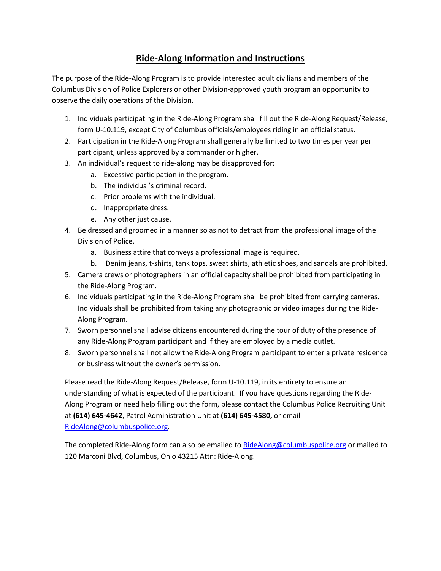## **Ride-Along Information and Instructions**

The purpose of the Ride-Along Program is to provide interested adult civilians and members of the Columbus Division of Police Explorers or other Division-approved youth program an opportunity to observe the daily operations of the Division.

- 1. Individuals participating in the Ride-Along Program shall fill out the Ride-Along Request/Release, form U-10.119, except City of Columbus officials/employees riding in an official status.
- 2. Participation in the Ride-Along Program shall generally be limited to two times per year per participant, unless approved by a commander or higher.
- 3. An individual's request to ride-along may be disapproved for:
	- a. Excessive participation in the program.
	- b. The individual's criminal record.
	- c. Prior problems with the individual.
	- d. Inappropriate dress.
	- e. Any other just cause.
- 4. Be dressed and groomed in a manner so as not to detract from the professional image of the Division of Police.
	- a. Business attire that conveys a professional image is required.
	- b. Denim jeans, t-shirts, tank tops, sweat shirts, athletic shoes, and sandals are prohibited.
- 5. Camera crews or photographers in an official capacity shall be prohibited from participating in the Ride-Along Program.
- 6. Individuals participating in the Ride-Along Program shall be prohibited from carrying cameras. Individuals shall be prohibited from taking any photographic or video images during the Ride-Along Program.
- 7. Sworn personnel shall advise citizens encountered during the tour of duty of the presence of any Ride-Along Program participant and if they are employed by a media outlet.
- 8. Sworn personnel shall not allow the Ride-Along Program participant to enter a private residence or business without the owner's permission.

Please read the Ride-Along Request/Release, form U-10.119, in its entirety to ensure an understanding of what is expected of the participant. If you have questions regarding the Ride-Along Program or need help filling out the form, please contact the Columbus Police Recruiting Unit at **(614) 645-4642**, Patrol Administration Unit at **(614) 645-4580,** or email [RideAlong@columbuspolice.org.](mailto:RideAlong@columbuspolice.org)

The completed Ride-Along form can also be emailed t[o RideAlong@columbuspolice.org](mailto:RideAlong@columbuspolice.org) or mailed to 120 Marconi Blvd, Columbus, Ohio 43215 Attn: Ride-Along.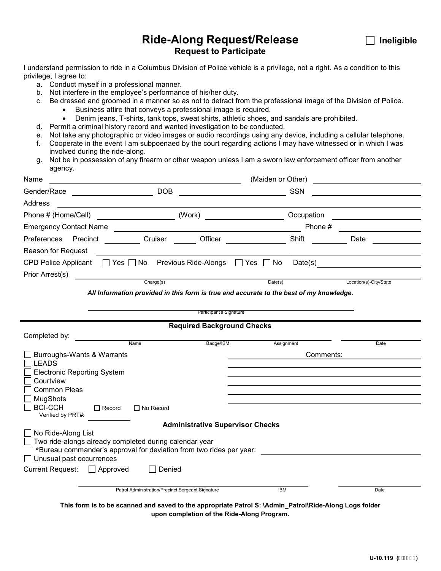## **Ride-Along Request/Release ■ Ineligible Request to Participate**

I understand permission to ride in a Columbus Division of Police vehicle is a privilege, not a right. As a condition to this privilege, I agree to:

- a. Conduct myself in a professional manner.
- b. Not interfere in the employee's performance of his/her duty.
- c. Be dressed and groomed in a manner so as not to detract from the professional image of the Division of Police.
	- Business attire that conveys a professional image is required.
	- Denim jeans, T-shirts, tank tops, sweat shirts, athletic shoes, and sandals are prohibited.
- d. Permit a criminal history record and wanted investigation to be conducted.
- e. Not take any photographic or video images or audio recordings using any device, including a cellular telephone.
- f. Cooperate in the event I am subpoenaed by the court regarding actions I may have witnessed or in which I was involved during the ride-along.
- g. Not be in possession of any firearm or other weapon unless I am a sworn law enforcement officer from another agency.

| Name                                                                                                   | (Maiden or Other)                                                                                                             |            |                                                                                                                                                                                                                                      |  |  |  |  |  |
|--------------------------------------------------------------------------------------------------------|-------------------------------------------------------------------------------------------------------------------------------|------------|--------------------------------------------------------------------------------------------------------------------------------------------------------------------------------------------------------------------------------------|--|--|--|--|--|
| Gender/Race                                                                                            | $\overline{\phantom{a}}$ DOB                                                                                                  | <b>SSN</b> |                                                                                                                                                                                                                                      |  |  |  |  |  |
| Address                                                                                                | <u> 1989 - Johann Barbara, martin amerikan basar dan basa dan basar dalam basa dalam basa dalam basa dalam basa </u>          |            |                                                                                                                                                                                                                                      |  |  |  |  |  |
| Phone # (Home/Cell) ________________________                                                           |                                                                                                                               | Occupation | <u> The Communication of the Communication of the Communication of the Communication of the Communication of the Communication of the Communication of the Communication of the Communication of the Communication of the Commun</u> |  |  |  |  |  |
| <b>Emergency Contact Name</b>                                                                          |                                                                                                                               | Phone #    |                                                                                                                                                                                                                                      |  |  |  |  |  |
| Preferences Precinct                                                                                   | Officer<br>Cruiser                                                                                                            | Shift      | Date                                                                                                                                                                                                                                 |  |  |  |  |  |
| Reason for Request                                                                                     |                                                                                                                               |            |                                                                                                                                                                                                                                      |  |  |  |  |  |
|                                                                                                        | CPD Police Applicant $\Box$ Yes $\Box$ No Previous Ride-Alongs $\Box$ Yes $\Box$ No                                           |            |                                                                                                                                                                                                                                      |  |  |  |  |  |
| Prior Arrest(s)                                                                                        | <b>Charge(s)</b>                                                                                                              |            |                                                                                                                                                                                                                                      |  |  |  |  |  |
|                                                                                                        |                                                                                                                               | Date(s)    | Location(s)-City/State                                                                                                                                                                                                               |  |  |  |  |  |
|                                                                                                        | All Information provided in this form is true and accurate to the best of my knowledge.                                       |            |                                                                                                                                                                                                                                      |  |  |  |  |  |
|                                                                                                        | Participant's Signature                                                                                                       |            |                                                                                                                                                                                                                                      |  |  |  |  |  |
| <b>Required Background Checks</b>                                                                      |                                                                                                                               |            |                                                                                                                                                                                                                                      |  |  |  |  |  |
| Completed by: Completed by:                                                                            |                                                                                                                               |            |                                                                                                                                                                                                                                      |  |  |  |  |  |
|                                                                                                        | Badge/IBM<br>Name                                                                                                             | Assignment | Date                                                                                                                                                                                                                                 |  |  |  |  |  |
| Burroughs-Wants & Warrants                                                                             |                                                                                                                               | Comments:  |                                                                                                                                                                                                                                      |  |  |  |  |  |
| <b>LEADS</b><br><b>Electronic Reporting System</b>                                                     |                                                                                                                               |            |                                                                                                                                                                                                                                      |  |  |  |  |  |
| Courtview                                                                                              |                                                                                                                               |            |                                                                                                                                                                                                                                      |  |  |  |  |  |
| <b>Common Pleas</b>                                                                                    |                                                                                                                               |            |                                                                                                                                                                                                                                      |  |  |  |  |  |
| <b>MugShots</b>                                                                                        |                                                                                                                               |            |                                                                                                                                                                                                                                      |  |  |  |  |  |
| <b>BCI-CCH</b><br>Verified by PRT#:                                                                    | $\Box$ Record<br>$\Box$ No Record                                                                                             |            |                                                                                                                                                                                                                                      |  |  |  |  |  |
| <b>Administrative Supervisor Checks</b>                                                                |                                                                                                                               |            |                                                                                                                                                                                                                                      |  |  |  |  |  |
| No Ride-Along List                                                                                     |                                                                                                                               |            |                                                                                                                                                                                                                                      |  |  |  |  |  |
|                                                                                                        | Two ride-alongs already completed during calendar year<br>*Bureau commander's approval for deviation from two rides per year: |            |                                                                                                                                                                                                                                      |  |  |  |  |  |
| $\Box$ Unusual past occurrences                                                                        |                                                                                                                               |            |                                                                                                                                                                                                                                      |  |  |  |  |  |
| Current Request: □ Approved                                                                            | Denied                                                                                                                        |            |                                                                                                                                                                                                                                      |  |  |  |  |  |
|                                                                                                        |                                                                                                                               |            |                                                                                                                                                                                                                                      |  |  |  |  |  |
|                                                                                                        | Patrol Administration/Precinct Sergeant Signature                                                                             | <b>IBM</b> | Date                                                                                                                                                                                                                                 |  |  |  |  |  |
| This form is to be scanned and saved to the appropriate Patrol S: \Admin_Patrol\Ride-Along Logs folder |                                                                                                                               |            |                                                                                                                                                                                                                                      |  |  |  |  |  |
|                                                                                                        | upon completion of the Ride-Along Program.                                                                                    |            |                                                                                                                                                                                                                                      |  |  |  |  |  |